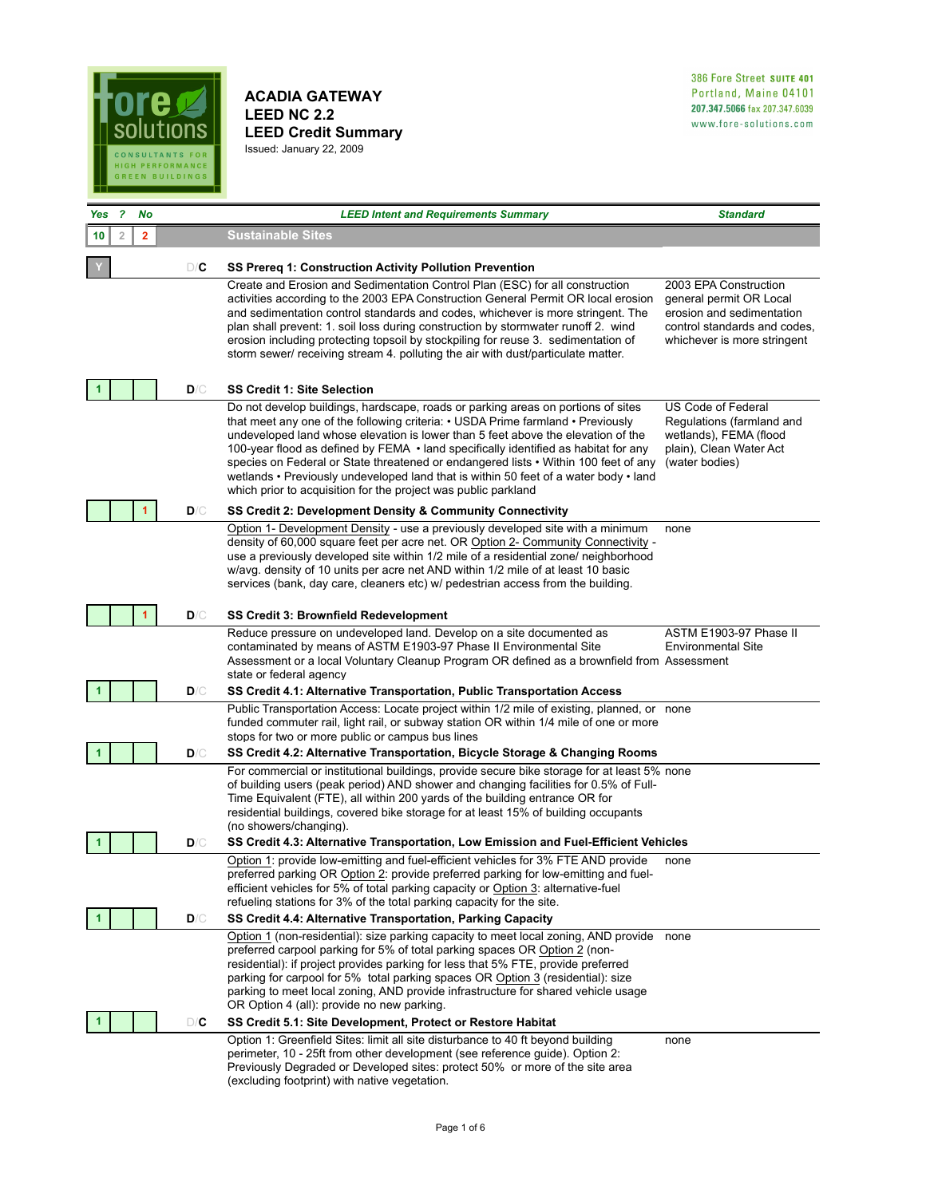

**ACADIA GATEWAY LEED NC 2.2 LEED Credit Summary**  Issued: January 22, 2009

| Yes | - 2 | No                      |     | <b>LEED Intent and Requirements Summary</b>                                                                                                                                                                                                                                                                                                                                                                                                                                                                                                                                                           | <b>Standard</b>                                                                                                                              |
|-----|-----|-------------------------|-----|-------------------------------------------------------------------------------------------------------------------------------------------------------------------------------------------------------------------------------------------------------------------------------------------------------------------------------------------------------------------------------------------------------------------------------------------------------------------------------------------------------------------------------------------------------------------------------------------------------|----------------------------------------------------------------------------------------------------------------------------------------------|
| 10  | 2   | $\overline{\mathbf{2}}$ |     | <b>Sustainable Sites</b>                                                                                                                                                                                                                                                                                                                                                                                                                                                                                                                                                                              |                                                                                                                                              |
|     |     |                         | D/C | SS Prereq 1: Construction Activity Pollution Prevention                                                                                                                                                                                                                                                                                                                                                                                                                                                                                                                                               |                                                                                                                                              |
|     |     |                         |     | Create and Erosion and Sedimentation Control Plan (ESC) for all construction<br>activities according to the 2003 EPA Construction General Permit OR local erosion<br>and sedimentation control standards and codes, whichever is more stringent. The<br>plan shall prevent: 1. soil loss during construction by stormwater runoff 2. wind<br>erosion including protecting topsoil by stockpiling for reuse 3. sedimentation of<br>storm sewer/ receiving stream 4. polluting the air with dust/particulate matter.                                                                                    | 2003 EPA Construction<br>general permit OR Local<br>erosion and sedimentation<br>control standards and codes.<br>whichever is more stringent |
|     |     |                         | D/C | <b>SS Credit 1: Site Selection</b>                                                                                                                                                                                                                                                                                                                                                                                                                                                                                                                                                                    |                                                                                                                                              |
|     |     |                         |     | Do not develop buildings, hardscape, roads or parking areas on portions of sites<br>that meet any one of the following criteria: • USDA Prime farmland • Previously<br>undeveloped land whose elevation is lower than 5 feet above the elevation of the<br>100-year flood as defined by FEMA $\cdot$ land specifically identified as habitat for any<br>species on Federal or State threatened or endangered lists • Within 100 feet of any<br>wetlands • Previously undeveloped land that is within 50 feet of a water body • land<br>which prior to acquisition for the project was public parkland | US Code of Federal<br>Regulations (farmland and<br>wetlands), FEMA (flood<br>plain), Clean Water Act<br>(water bodies)                       |
|     |     | $\mathbf{1}$            | D/C | SS Credit 2: Development Density & Community Connectivity                                                                                                                                                                                                                                                                                                                                                                                                                                                                                                                                             |                                                                                                                                              |
|     |     | 1                       | D/C | Option 1- Development Density - use a previously developed site with a minimum<br>density of 60,000 square feet per acre net. OR Option 2- Community Connectivity -<br>use a previously developed site within 1/2 mile of a residential zone/ neighborhood<br>w/avg. density of 10 units per acre net AND within 1/2 mile of at least 10 basic<br>services (bank, day care, cleaners etc) w/ pedestrian access from the building.<br><b>SS Credit 3: Brownfield Redevelopment</b>                                                                                                                     | none                                                                                                                                         |
|     |     |                         |     | Reduce pressure on undeveloped land. Develop on a site documented as                                                                                                                                                                                                                                                                                                                                                                                                                                                                                                                                  | ASTM E1903-97 Phase II                                                                                                                       |
|     |     |                         | D/C | contaminated by means of ASTM E1903-97 Phase II Environmental Site<br>Assessment or a local Voluntary Cleanup Program OR defined as a brownfield from Assessment<br>state or federal agency<br>SS Credit 4.1: Alternative Transportation, Public Transportation Access                                                                                                                                                                                                                                                                                                                                | <b>Environmental Site</b>                                                                                                                    |
|     |     |                         |     | Public Transportation Access: Locate project within 1/2 mile of existing, planned, or none<br>funded commuter rail, light rail, or subway station OR within 1/4 mile of one or more<br>stops for two or more public or campus bus lines                                                                                                                                                                                                                                                                                                                                                               |                                                                                                                                              |
|     |     |                         | D/C | SS Credit 4.2: Alternative Transportation, Bicycle Storage & Changing Rooms                                                                                                                                                                                                                                                                                                                                                                                                                                                                                                                           |                                                                                                                                              |
|     |     |                         |     | For commercial or institutional buildings, provide secure bike storage for at least 5% none<br>of building users (peak period) AND shower and changing facilities for 0.5% of Full-<br>Time Equivalent (FTE), all within 200 yards of the building entrance OR for<br>residential buildings, covered bike storage for at least 15% of building occupants<br>(no showers/changing).                                                                                                                                                                                                                    |                                                                                                                                              |
|     |     |                         | D/C | SS Credit 4.3: Alternative Transportation, Low Emission and Fuel-Efficient Vehicles                                                                                                                                                                                                                                                                                                                                                                                                                                                                                                                   |                                                                                                                                              |
|     |     |                         |     | Option 1: provide low-emitting and fuel-efficient vehicles for 3% FTE AND provide<br>preferred parking OR Option 2: provide preferred parking for low-emitting and fuel-<br>efficient vehicles for 5% of total parking capacity or Option 3: alternative-fuel<br>refueling stations for 3% of the total parking capacity for the site.                                                                                                                                                                                                                                                                | none                                                                                                                                         |
|     |     |                         | D/C | SS Credit 4.4: Alternative Transportation, Parking Capacity                                                                                                                                                                                                                                                                                                                                                                                                                                                                                                                                           |                                                                                                                                              |
|     |     |                         | D/C | Option 1 (non-residential): size parking capacity to meet local zoning, AND provide<br>preferred carpool parking for 5% of total parking spaces OR Option 2 (non-<br>residential): if project provides parking for less that 5% FTE, provide preferred<br>parking for carpool for 5% total parking spaces OR Option 3 (residential): size<br>parking to meet local zoning, AND provide infrastructure for shared vehicle usage<br>OR Option 4 (all): provide no new parking.<br>SS Credit 5.1: Site Development, Protect or Restore Habitat                                                           | none                                                                                                                                         |
|     |     |                         |     | Option 1: Greenfield Sites: limit all site disturbance to 40 ft beyond building                                                                                                                                                                                                                                                                                                                                                                                                                                                                                                                       | none                                                                                                                                         |
|     |     |                         |     | perimeter, 10 - 25ft from other development (see reference guide). Option 2:<br>Previously Degraded or Developed sites: protect 50% or more of the site area<br>(excluding footprint) with native vegetation.                                                                                                                                                                                                                                                                                                                                                                                         |                                                                                                                                              |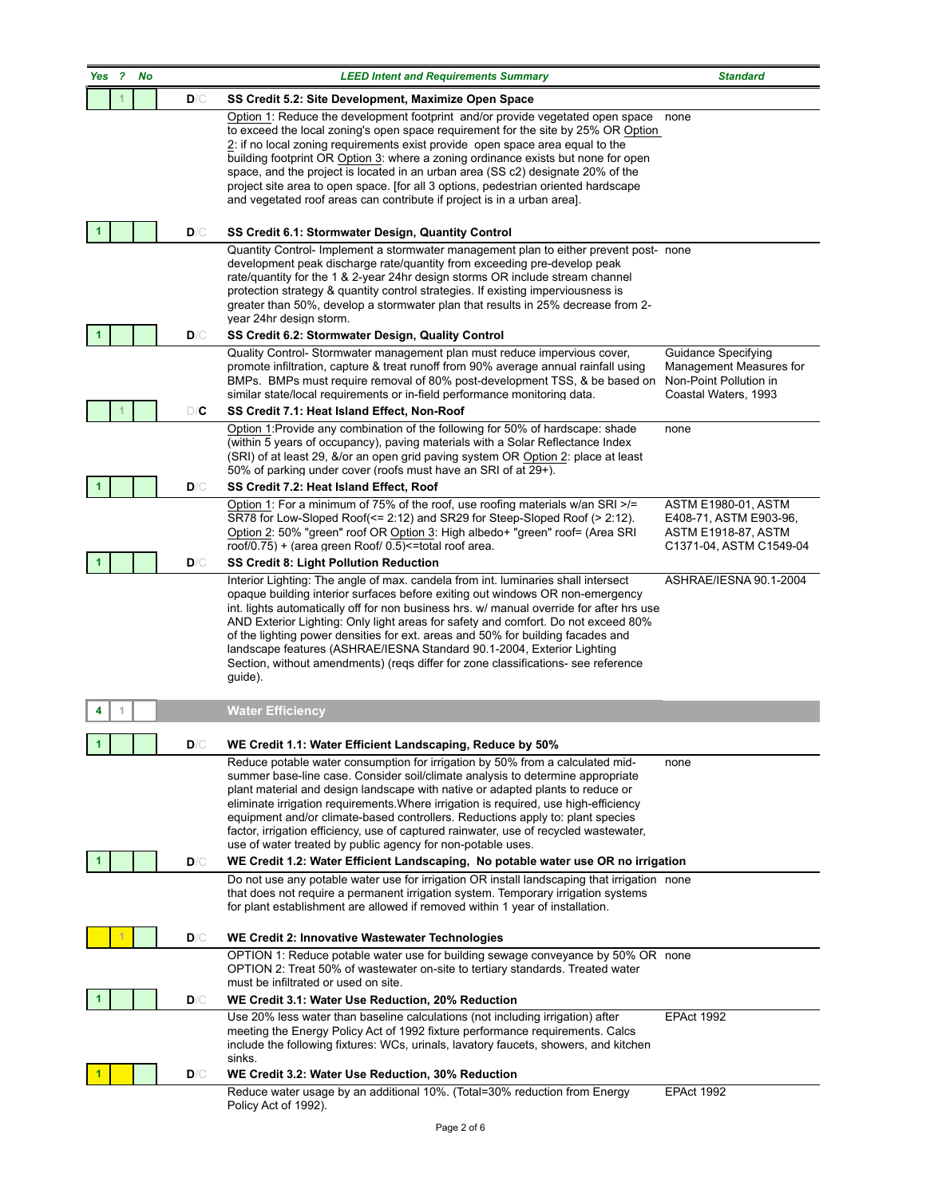|     |   | <b>CONSULTAN</b><br><b>GH PERFO</b><br><b>BU</b> |     | <u>SUIULIUIIS</u><br><b>CONSULTANTS FOR</b><br><b>HIGH PERFORMANCE</b>                                                                                                                                                                                                                                                                                                                                                                                                                                                                                                                                                                                                   |                                                                                                               |
|-----|---|--------------------------------------------------|-----|--------------------------------------------------------------------------------------------------------------------------------------------------------------------------------------------------------------------------------------------------------------------------------------------------------------------------------------------------------------------------------------------------------------------------------------------------------------------------------------------------------------------------------------------------------------------------------------------------------------------------------------------------------------------------|---------------------------------------------------------------------------------------------------------------|
| Yes | 2 | <b>No</b>                                        |     |                                                                                                                                                                                                                                                                                                                                                                                                                                                                                                                                                                                                                                                                          |                                                                                                               |
|     |   |                                                  | D/C | SS Credit 5.2: Site Development, Maximize Open Space                                                                                                                                                                                                                                                                                                                                                                                                                                                                                                                                                                                                                     |                                                                                                               |
|     |   |                                                  |     | Option 1: Reduce the development footprint and/or provide vegetated open space<br>to exceed the local zoning's open space requirement for the site by 25% OR Option<br>2: if no local zoning requirements exist provide open space area equal to the<br>building footprint OR Option 3: where a zoning ordinance exists but none for open<br>space, and the project is located in an urban area (SS c2) designate 20% of the<br>project site area to open space. [for all 3 options, pedestrian oriented hardscape<br>and vegetated roof areas can contribute if project is in a urban area].                                                                            | none                                                                                                          |
|     |   |                                                  | D/C | SS Credit 6.1: Stormwater Design, Quantity Control<br>Quantity Control- Implement a stormwater management plan to either prevent post- none                                                                                                                                                                                                                                                                                                                                                                                                                                                                                                                              |                                                                                                               |
|     |   |                                                  |     | development peak discharge rate/quantity from exceeding pre-develop peak<br>rate/quantity for the 1 & 2-year 24hr design storms OR include stream channel<br>protection strategy & quantity control strategies. If existing imperviousness is<br>greater than 50%, develop a stormwater plan that results in 25% decrease from 2-<br>year 24hr design storm.                                                                                                                                                                                                                                                                                                             |                                                                                                               |
| 1   |   |                                                  | D/C | SS Credit 6.2: Stormwater Design, Quality Control                                                                                                                                                                                                                                                                                                                                                                                                                                                                                                                                                                                                                        |                                                                                                               |
|     |   |                                                  |     | Quality Control- Stormwater management plan must reduce impervious cover,<br>promote infiltration, capture & treat runoff from 90% average annual rainfall using<br>BMPs. BMPs must require removal of 80% post-development TSS, & be based on<br>similar state/local requirements or in-field performance monitoring data.                                                                                                                                                                                                                                                                                                                                              | Guidance Specifying<br>Management Measures for<br>Non-Point Pollution in<br>Coastal Waters, 1993              |
|     |   |                                                  | D/C | SS Credit 7.1: Heat Island Effect, Non-Roof<br>Option 1:Provide any combination of the following for 50% of hardscape: shade                                                                                                                                                                                                                                                                                                                                                                                                                                                                                                                                             |                                                                                                               |
|     |   |                                                  |     | (within 5 years of occupancy), paving materials with a Solar Reflectance Index<br>(SRI) of at least 29, &/or an open grid paving system OR Option 2: place at least<br>50% of parking under cover (roofs must have an SRI of at 29+).                                                                                                                                                                                                                                                                                                                                                                                                                                    | none                                                                                                          |
| 1   |   |                                                  | D/C | SS Credit 7.2: Heat Island Effect, Roof                                                                                                                                                                                                                                                                                                                                                                                                                                                                                                                                                                                                                                  |                                                                                                               |
|     |   |                                                  |     | Option 1: For a minimum of 75% of the roof, use roofing materials w/an SRI >/=<br>SR78 for Low-Sloped Roof(<= 2:12) and SR29 for Steep-Sloped Roof (> 2:12).<br>Option 2: 50% "green" roof OR Option 3: High albedo+ "green" roof= (Area SRI<br>roof/0.75) + (area green Roof/ 0.5) <= total roof area.                                                                                                                                                                                                                                                                                                                                                                  | <b>ASTM E1980-01, ASTM</b><br>E408-71, ASTM E903-96,<br><b>ASTM E1918-87, ASTM</b><br>C1371-04, ASTM C1549-04 |
|     |   |                                                  | D/C | SS Credit 8: Light Pollution Reduction                                                                                                                                                                                                                                                                                                                                                                                                                                                                                                                                                                                                                                   |                                                                                                               |
|     |   |                                                  |     | Interior Lighting: The angle of max. candela from int. Iuminaries shall intersect<br>opaque building interior surfaces before exiting out windows OR non-emergency<br>int. lights automatically off for non business hrs. w/ manual override for after hrs use<br>AND Exterior Lighting: Only light areas for safety and comfort. Do not exceed 80%<br>of the lighting power densities for ext. areas and 50% for building facades and<br>landscape features (ASHRAE/IESNA Standard 90.1-2004, Exterior Lighting<br>Section, without amendments) (reqs differ for zone classifications- see reference<br>guide).                                                         | ASHRAE/IESNA 90.1-2004                                                                                        |
|     |   |                                                  |     | <b>Water Efficiency</b>                                                                                                                                                                                                                                                                                                                                                                                                                                                                                                                                                                                                                                                  |                                                                                                               |
|     |   |                                                  | D/C | WE Credit 1.1: Water Efficient Landscaping, Reduce by 50%                                                                                                                                                                                                                                                                                                                                                                                                                                                                                                                                                                                                                |                                                                                                               |
| 1   |   |                                                  | D/C | Reduce potable water consumption for irrigation by 50% from a calculated mid-<br>summer base-line case. Consider soil/climate analysis to determine appropriate<br>plant material and design landscape with native or adapted plants to reduce or<br>eliminate irrigation requirements. Where irrigation is required, use high-efficiency<br>equipment and/or climate-based controllers. Reductions apply to: plant species<br>factor, irrigation efficiency, use of captured rainwater, use of recycled wastewater,<br>use of water treated by public agency for non-potable uses.<br>WE Credit 1.2: Water Efficient Landscaping, No potable water use OR no irrigation | none                                                                                                          |
|     |   |                                                  |     | Do not use any potable water use for irrigation OR install landscaping that irrigation none                                                                                                                                                                                                                                                                                                                                                                                                                                                                                                                                                                              |                                                                                                               |
|     |   |                                                  |     | that does not require a permanent irrigation system. Temporary irrigation systems<br>for plant establishment are allowed if removed within 1 year of installation.                                                                                                                                                                                                                                                                                                                                                                                                                                                                                                       |                                                                                                               |
|     |   |                                                  | D/C | WE Credit 2: Innovative Wastewater Technologies                                                                                                                                                                                                                                                                                                                                                                                                                                                                                                                                                                                                                          |                                                                                                               |
|     |   |                                                  |     | OPTION 1: Reduce potable water use for building sewage conveyance by 50% OR none<br>OPTION 2: Treat 50% of wastewater on-site to tertiary standards. Treated water<br>must be infiltrated or used on site.                                                                                                                                                                                                                                                                                                                                                                                                                                                               |                                                                                                               |
|     |   |                                                  | D/C | WE Credit 3.1: Water Use Reduction, 20% Reduction                                                                                                                                                                                                                                                                                                                                                                                                                                                                                                                                                                                                                        |                                                                                                               |
|     |   |                                                  |     | Use 20% less water than baseline calculations (not including irrigation) after<br>meeting the Energy Policy Act of 1992 fixture performance requirements. Calcs<br>include the following fixtures: WCs, urinals, lavatory faucets, showers, and kitchen<br>sinks.                                                                                                                                                                                                                                                                                                                                                                                                        | <b>EPAct 1992</b>                                                                                             |
|     |   |                                                  | D/C | WE Credit 3.2: Water Use Reduction, 30% Reduction                                                                                                                                                                                                                                                                                                                                                                                                                                                                                                                                                                                                                        |                                                                                                               |
|     |   |                                                  |     | Reduce water usage by an additional 10%. (Total=30% reduction from Energy<br>Policy Act of 1992).                                                                                                                                                                                                                                                                                                                                                                                                                                                                                                                                                                        | <b>EPAct 1992</b>                                                                                             |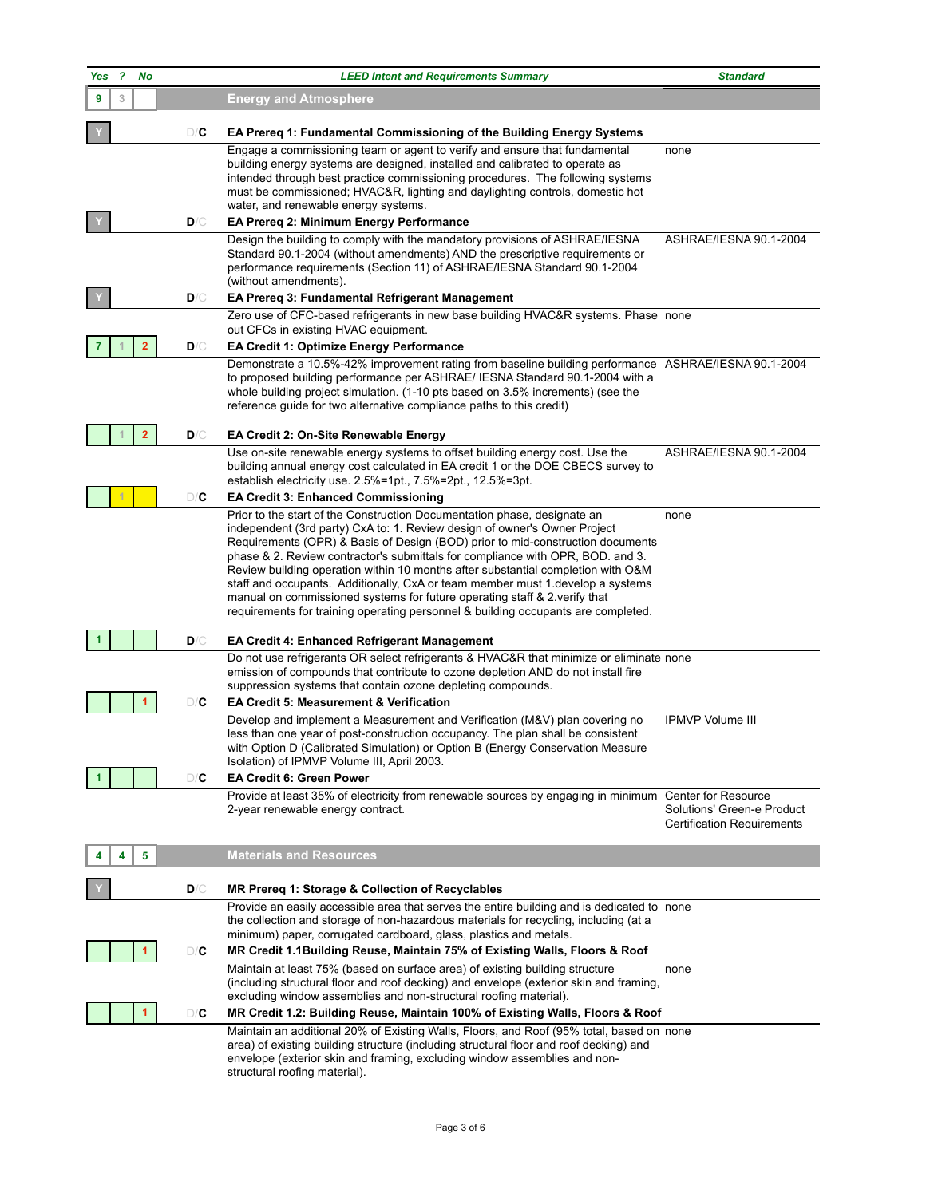|            |                               |     | <u>SUIU LIUI IS</u>                                                                                                                                                                                                                                                                                                                                                                                                                                                                                                                                                                                                                                                |                                                                 |
|------------|-------------------------------|-----|--------------------------------------------------------------------------------------------------------------------------------------------------------------------------------------------------------------------------------------------------------------------------------------------------------------------------------------------------------------------------------------------------------------------------------------------------------------------------------------------------------------------------------------------------------------------------------------------------------------------------------------------------------------------|-----------------------------------------------------------------|
|            | <b>ERFO</b><br><b>BUI</b>     |     | <b>CONSULTANTS FOR</b><br><b>HIGH PERFORMANCE</b>                                                                                                                                                                                                                                                                                                                                                                                                                                                                                                                                                                                                                  |                                                                 |
|            |                               |     | <b>GREEN BUILDINGS</b>                                                                                                                                                                                                                                                                                                                                                                                                                                                                                                                                                                                                                                             |                                                                 |
| <b>Yes</b> | $\overline{\mathbf{r}}$<br>No |     |                                                                                                                                                                                                                                                                                                                                                                                                                                                                                                                                                                                                                                                                    |                                                                 |
| 9          | 3                             |     | <b>Energy and Atmosphere</b>                                                                                                                                                                                                                                                                                                                                                                                                                                                                                                                                                                                                                                       |                                                                 |
|            |                               | D/C | EA Prereq 1: Fundamental Commissioning of the Building Energy Systems                                                                                                                                                                                                                                                                                                                                                                                                                                                                                                                                                                                              |                                                                 |
|            |                               |     | Engage a commissioning team or agent to verify and ensure that fundamental<br>building energy systems are designed, installed and calibrated to operate as<br>intended through best practice commissioning procedures. The following systems<br>must be commissioned; HVAC&R, lighting and daylighting controls, domestic hot<br>water, and renewable energy systems.                                                                                                                                                                                                                                                                                              | none                                                            |
|            |                               | D/C | EA Prereq 2: Minimum Energy Performance                                                                                                                                                                                                                                                                                                                                                                                                                                                                                                                                                                                                                            |                                                                 |
|            |                               |     | Design the building to comply with the mandatory provisions of ASHRAE/IESNA<br>Standard 90.1-2004 (without amendments) AND the prescriptive requirements or<br>performance requirements (Section 11) of ASHRAE/IESNA Standard 90.1-2004<br>(without amendments).                                                                                                                                                                                                                                                                                                                                                                                                   | ASHRAE/IESNA 90.1-2004                                          |
|            |                               | D/C | EA Prereq 3: Fundamental Refrigerant Management                                                                                                                                                                                                                                                                                                                                                                                                                                                                                                                                                                                                                    |                                                                 |
|            |                               |     | Zero use of CFC-based refrigerants in new base building HVAC&R systems. Phase none<br>out CFCs in existing HVAC equipment.                                                                                                                                                                                                                                                                                                                                                                                                                                                                                                                                         |                                                                 |
|            | $\mathbf{2}$                  | D/C | <b>EA Credit 1: Optimize Energy Performance</b>                                                                                                                                                                                                                                                                                                                                                                                                                                                                                                                                                                                                                    |                                                                 |
|            |                               |     | Demonstrate a 10.5%-42% improvement rating from baseline building performance ASHRAE/IESNA 90.1-2004<br>to proposed building performance per ASHRAE/ IESNA Standard 90.1-2004 with a<br>whole building project simulation. (1-10 pts based on 3.5% increments) (see the<br>reference guide for two alternative compliance paths to this credit)                                                                                                                                                                                                                                                                                                                    |                                                                 |
|            | $\overline{2}$                | D/C | <b>EA Credit 2: On-Site Renewable Energy</b>                                                                                                                                                                                                                                                                                                                                                                                                                                                                                                                                                                                                                       |                                                                 |
|            |                               |     | Use on-site renewable energy systems to offset building energy cost. Use the<br>building annual energy cost calculated in EA credit 1 or the DOE CBECS survey to<br>establish electricity use. $2.5\% = 1$ pt., $7.5\% = 2$ pt., $12.5\% = 3$ pt.                                                                                                                                                                                                                                                                                                                                                                                                                  | ASHRAE/IESNA 90.1-2004                                          |
|            |                               | D/C | <b>EA Credit 3: Enhanced Commissioning</b>                                                                                                                                                                                                                                                                                                                                                                                                                                                                                                                                                                                                                         |                                                                 |
|            |                               |     | Prior to the start of the Construction Documentation phase, designate an<br>independent (3rd party) CxA to: 1. Review design of owner's Owner Project<br>Requirements (OPR) & Basis of Design (BOD) prior to mid-construction documents<br>phase & 2. Review contractor's submittals for compliance with OPR, BOD. and 3.<br>Review building operation within 10 months after substantial completion with O&M<br>staff and occupants. Additionally, CxA or team member must 1. develop a systems<br>manual on commissioned systems for future operating staff & 2.verify that<br>requirements for training operating personnel & building occupants are completed. | none                                                            |
|            |                               | D/C | <b>EA Credit 4: Enhanced Refrigerant Management</b>                                                                                                                                                                                                                                                                                                                                                                                                                                                                                                                                                                                                                |                                                                 |
|            | 1                             | D/C | Do not use refrigerants OR select refrigerants & HVAC&R that minimize or eliminate none<br>emission of compounds that contribute to ozone depletion AND do not install fire<br>suppression systems that contain ozone depleting compounds.<br><b>EA Credit 5: Measurement &amp; Verification</b>                                                                                                                                                                                                                                                                                                                                                                   |                                                                 |
|            |                               |     | Develop and implement a Measurement and Verification (M&V) plan covering no<br>less than one year of post-construction occupancy. The plan shall be consistent<br>with Option D (Calibrated Simulation) or Option B (Energy Conservation Measure<br>Isolation) of IPMVP Volume III, April 2003.                                                                                                                                                                                                                                                                                                                                                                    | <b>IPMVP Volume III</b>                                         |
| 1          |                               | D/C | <b>EA Credit 6: Green Power</b>                                                                                                                                                                                                                                                                                                                                                                                                                                                                                                                                                                                                                                    |                                                                 |
|            |                               |     | Provide at least 35% of electricity from renewable sources by engaging in minimum Center for Resource<br>2-year renewable energy contract.                                                                                                                                                                                                                                                                                                                                                                                                                                                                                                                         | Solutions' Green-e Product<br><b>Certification Requirements</b> |
|            | 5<br>4                        |     | <b>Materials and Resources</b>                                                                                                                                                                                                                                                                                                                                                                                                                                                                                                                                                                                                                                     |                                                                 |
|            |                               | D/C | MR Prereq 1: Storage & Collection of Recyclables                                                                                                                                                                                                                                                                                                                                                                                                                                                                                                                                                                                                                   |                                                                 |
|            |                               |     | Provide an easily accessible area that serves the entire building and is dedicated to none<br>the collection and storage of non-hazardous materials for recycling, including (at a<br>minimum) paper, corrugated cardboard, glass, plastics and metals.                                                                                                                                                                                                                                                                                                                                                                                                            |                                                                 |
|            | $\blacktriangleleft$          | D/C | MR Credit 1.1Building Reuse, Maintain 75% of Existing Walls, Floors & Roof                                                                                                                                                                                                                                                                                                                                                                                                                                                                                                                                                                                         |                                                                 |
|            |                               |     | Maintain at least 75% (based on surface area) of existing building structure<br>(including structural floor and roof decking) and envelope (exterior skin and framing,<br>excluding window assemblies and non-structural roofing material).                                                                                                                                                                                                                                                                                                                                                                                                                        | none                                                            |
|            | 1                             | D/C | MR Credit 1.2: Building Reuse, Maintain 100% of Existing Walls, Floors & Roof                                                                                                                                                                                                                                                                                                                                                                                                                                                                                                                                                                                      |                                                                 |
|            |                               |     | Maintain an additional 20% of Existing Walls, Floors, and Roof (95% total, based on none<br>area) of existing building structure (including structural floor and roof decking) and<br>envelope (exterior skin and framing, excluding window assemblies and non-<br>structural roofing material).                                                                                                                                                                                                                                                                                                                                                                   |                                                                 |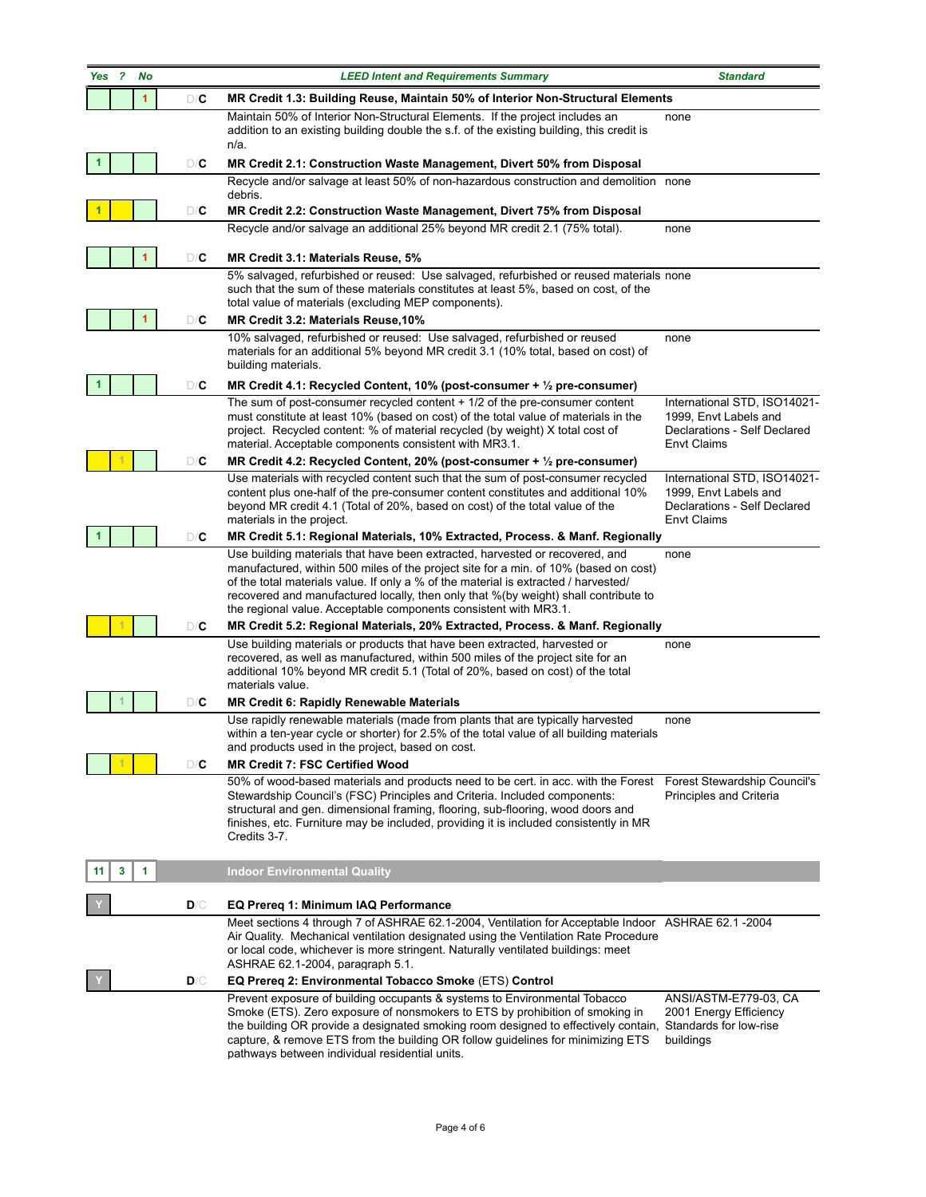|     |   | CONSULTAN                      |     | <b>SUILLIUIIS</b>                                                                                                                                                                                                                                                                                                                                                                                                                                                                                       |                                                                                                             |
|-----|---|--------------------------------|-----|---------------------------------------------------------------------------------------------------------------------------------------------------------------------------------------------------------------------------------------------------------------------------------------------------------------------------------------------------------------------------------------------------------------------------------------------------------------------------------------------------------|-------------------------------------------------------------------------------------------------------------|
|     |   | <b>PERFO</b><br><b>FEN RUI</b> |     | <b>CONSULTANTS FOR</b>                                                                                                                                                                                                                                                                                                                                                                                                                                                                                  |                                                                                                             |
|     |   |                                |     | <b>GREEN BUILDINGS</b>                                                                                                                                                                                                                                                                                                                                                                                                                                                                                  |                                                                                                             |
| Yes | 2 | No                             |     |                                                                                                                                                                                                                                                                                                                                                                                                                                                                                                         |                                                                                                             |
|     |   | 1                              | D/C | MR Credit 1.3: Building Reuse, Maintain 50% of Interior Non-Structural Elements                                                                                                                                                                                                                                                                                                                                                                                                                         |                                                                                                             |
|     |   |                                |     | Maintain 50% of Interior Non-Structural Elements. If the project includes an<br>addition to an existing building double the s.f. of the existing building, this credit is<br>$n/a$ .                                                                                                                                                                                                                                                                                                                    | none                                                                                                        |
|     |   |                                | D/C | MR Credit 2.1: Construction Waste Management, Divert 50% from Disposal                                                                                                                                                                                                                                                                                                                                                                                                                                  |                                                                                                             |
|     |   |                                |     | Recycle and/or salvage at least 50% of non-hazardous construction and demolition none<br>debris.                                                                                                                                                                                                                                                                                                                                                                                                        |                                                                                                             |
|     |   |                                | D/C | MR Credit 2.2: Construction Waste Management, Divert 75% from Disposal                                                                                                                                                                                                                                                                                                                                                                                                                                  |                                                                                                             |
|     |   |                                |     | Recycle and/or salvage an additional 25% beyond MR credit 2.1 (75% total).                                                                                                                                                                                                                                                                                                                                                                                                                              | none                                                                                                        |
|     |   | 1                              | D/C | MR Credit 3.1: Materials Reuse, 5%                                                                                                                                                                                                                                                                                                                                                                                                                                                                      |                                                                                                             |
|     |   |                                |     | 5% salvaged, refurbished or reused: Use salvaged, refurbished or reused materials none<br>such that the sum of these materials constitutes at least 5%, based on cost, of the<br>total value of materials (excluding MEP components).                                                                                                                                                                                                                                                                   |                                                                                                             |
|     |   | 1                              | D/C | MR Credit 3.2: Materials Reuse, 10%                                                                                                                                                                                                                                                                                                                                                                                                                                                                     |                                                                                                             |
|     |   |                                |     | 10% salvaged, refurbished or reused: Use salvaged, refurbished or reused<br>materials for an additional 5% beyond MR credit 3.1 (10% total, based on cost) of<br>building materials.                                                                                                                                                                                                                                                                                                                    | none                                                                                                        |
| 1   |   |                                | D/C | MR Credit 4.1: Recycled Content, 10% (post-consumer + $\frac{1}{2}$ pre-consumer)                                                                                                                                                                                                                                                                                                                                                                                                                       |                                                                                                             |
|     |   |                                |     | The sum of post-consumer recycled content $+1/2$ of the pre-consumer content<br>must constitute at least 10% (based on cost) of the total value of materials in the<br>project. Recycled content: % of material recycled (by weight) X total cost of<br>material. Acceptable components consistent with MR3.1.                                                                                                                                                                                          | International STD, ISO14021-<br>1999, Envt Labels and<br>Declarations - Self Declared<br><b>Envt Claims</b> |
|     |   |                                | D/C | MR Credit 4.2: Recycled Content, 20% (post-consumer + $\frac{1}{2}$ pre-consumer)                                                                                                                                                                                                                                                                                                                                                                                                                       |                                                                                                             |
|     |   |                                |     | Use materials with recycled content such that the sum of post-consumer recycled<br>content plus one-half of the pre-consumer content constitutes and additional 10%<br>beyond MR credit 4.1 (Total of 20%, based on cost) of the total value of the<br>materials in the project.                                                                                                                                                                                                                        | International STD, ISO14021-<br>1999, Envt Labels and<br>Declarations - Self Declared<br><b>Envt Claims</b> |
|     |   |                                | D/C | MR Credit 5.1: Regional Materials, 10% Extracted, Process. & Manf. Regionally                                                                                                                                                                                                                                                                                                                                                                                                                           |                                                                                                             |
|     |   |                                | D/C | Use building materials that have been extracted, harvested or recovered, and<br>manufactured, within 500 miles of the project site for a min. of 10% (based on cost)<br>of the total materials value. If only a % of the material is extracted / harvested/<br>recovered and manufactured locally, then only that %(by weight) shall contribute to<br>the regional value. Acceptable components consistent with MR3.1.<br>MR Credit 5.2: Regional Materials, 20% Extracted, Process. & Manf. Regionally | none                                                                                                        |
|     |   |                                |     | Use building materials or products that have been extracted, harvested or<br>recovered, as well as manufactured, within 500 miles of the project site for an<br>additional 10% beyond MR credit 5.1 (Total of 20%, based on cost) of the total<br>materials value.                                                                                                                                                                                                                                      | none                                                                                                        |
|     |   |                                | D/C | MR Credit 6: Rapidly Renewable Materials                                                                                                                                                                                                                                                                                                                                                                                                                                                                |                                                                                                             |
|     |   |                                |     | Use rapidly renewable materials (made from plants that are typically harvested<br>within a ten-year cycle or shorter) for 2.5% of the total value of all building materials<br>and products used in the project, based on cost.                                                                                                                                                                                                                                                                         | none                                                                                                        |
|     |   |                                | D/C | <b>MR Credit 7: FSC Certified Wood</b><br>50% of wood-based materials and products need to be cert. in acc. with the Forest                                                                                                                                                                                                                                                                                                                                                                             | Forest Stewardship Council's                                                                                |
|     |   |                                |     | Stewardship Council's (FSC) Principles and Criteria. Included components:<br>structural and gen. dimensional framing, flooring, sub-flooring, wood doors and<br>finishes, etc. Furniture may be included, providing it is included consistently in MR<br>Credits 3-7.                                                                                                                                                                                                                                   | Principles and Criteria                                                                                     |
| 11  | 3 | 1                              |     | <b>Indoor Environmental Quality</b>                                                                                                                                                                                                                                                                                                                                                                                                                                                                     |                                                                                                             |
|     |   |                                | D/C | EQ Prereq 1: Minimum IAQ Performance                                                                                                                                                                                                                                                                                                                                                                                                                                                                    |                                                                                                             |
|     |   |                                |     | Meet sections 4 through 7 of ASHRAE 62.1-2004, Ventilation for Acceptable Indoor ASHRAE 62.1 -2004<br>Air Quality. Mechanical ventilation designated using the Ventilation Rate Procedure<br>or local code, whichever is more stringent. Naturally ventilated buildings: meet<br>ASHRAE 62.1-2004, paragraph 5.1.                                                                                                                                                                                       |                                                                                                             |
|     |   |                                | D/C | EQ Prereq 2: Environmental Tobacco Smoke (ETS) Control<br>Prevent exposure of building occupants & systems to Environmental Tobacco                                                                                                                                                                                                                                                                                                                                                                     | ANSI/ASTM-E779-03, CA                                                                                       |
|     |   |                                |     | Smoke (ETS). Zero exposure of nonsmokers to ETS by prohibition of smoking in<br>the building OR provide a designated smoking room designed to effectively contain, Standards for low-rise<br>capture, & remove ETS from the building OR follow guidelines for minimizing ETS<br>pathways between individual residential units.                                                                                                                                                                          | 2001 Energy Efficiency<br>buildings                                                                         |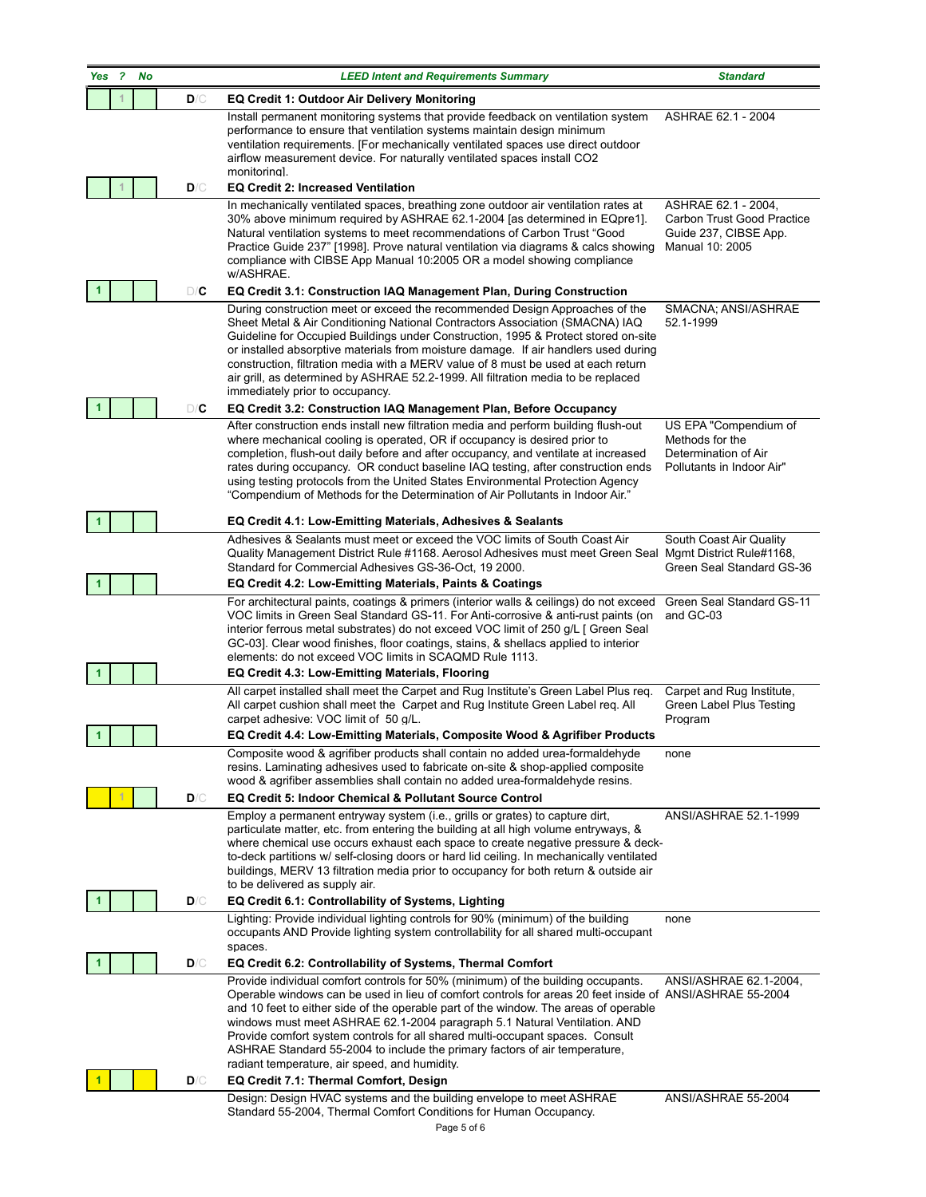|                      | PERFO<br><b>FFNRU</b> |     | <b>SUILLIUIIS</b><br><b>CONSULTANTS FOR</b><br><b>PERFORMANCE</b><br><b>GREEN BUILDINGS</b>                                                                                                                                                                                                                                                                                                                                                                                                                                                                                                                                 |                                                                                               |
|----------------------|-----------------------|-----|-----------------------------------------------------------------------------------------------------------------------------------------------------------------------------------------------------------------------------------------------------------------------------------------------------------------------------------------------------------------------------------------------------------------------------------------------------------------------------------------------------------------------------------------------------------------------------------------------------------------------------|-----------------------------------------------------------------------------------------------|
| Yes                  | 2<br>No               |     |                                                                                                                                                                                                                                                                                                                                                                                                                                                                                                                                                                                                                             |                                                                                               |
|                      |                       | D/C | <b>EQ Credit 1: Outdoor Air Delivery Monitoring</b><br>Install permanent monitoring systems that provide feedback on ventilation system<br>performance to ensure that ventilation systems maintain design minimum<br>ventilation requirements. [For mechanically ventilated spaces use direct outdoor<br>airflow measurement device. For naturally ventilated spaces install CO2<br>monitorinal.                                                                                                                                                                                                                            | ASHRAE 62.1 - 2004                                                                            |
|                      |                       | D/C | <b>EQ Credit 2: Increased Ventilation</b>                                                                                                                                                                                                                                                                                                                                                                                                                                                                                                                                                                                   |                                                                                               |
|                      |                       |     | In mechanically ventilated spaces, breathing zone outdoor air ventilation rates at<br>30% above minimum required by ASHRAE 62.1-2004 [as determined in EQpre1].<br>Natural ventilation systems to meet recommendations of Carbon Trust "Good<br>Practice Guide 237" [1998]. Prove natural ventilation via diagrams & calcs showing<br>compliance with CIBSE App Manual 10:2005 OR a model showing compliance<br>w/ASHRAE.                                                                                                                                                                                                   | ASHRAE 62.1 - 2004,<br>Carbon Trust Good Practice<br>Guide 237, CIBSE App.<br>Manual 10: 2005 |
|                      |                       | D/C | EQ Credit 3.1: Construction IAQ Management Plan, During Construction                                                                                                                                                                                                                                                                                                                                                                                                                                                                                                                                                        |                                                                                               |
|                      |                       |     | During construction meet or exceed the recommended Design Approaches of the<br>Sheet Metal & Air Conditioning National Contractors Association (SMACNA) IAQ<br>Guideline for Occupied Buildings under Construction, 1995 & Protect stored on-site<br>or installed absorptive materials from moisture damage. If air handlers used during<br>construction, filtration media with a MERV value of 8 must be used at each return<br>air grill, as determined by ASHRAE 52.2-1999. All filtration media to be replaced<br>immediately prior to occupancy.                                                                       | SMACNA; ANSI/ASHRAE<br>52.1-1999                                                              |
|                      |                       | D/C | EQ Credit 3.2: Construction IAQ Management Plan, Before Occupancy                                                                                                                                                                                                                                                                                                                                                                                                                                                                                                                                                           |                                                                                               |
|                      |                       |     | After construction ends install new filtration media and perform building flush-out<br>where mechanical cooling is operated, OR if occupancy is desired prior to<br>completion, flush-out daily before and after occupancy, and ventilate at increased<br>rates during occupancy. OR conduct baseline IAQ testing, after construction ends<br>using testing protocols from the United States Environmental Protection Agency<br>"Compendium of Methods for the Determination of Air Pollutants in Indoor Air."                                                                                                              | US EPA "Compendium of<br>Methods for the<br>Determination of Air<br>Pollutants in Indoor Air" |
|                      |                       |     | EQ Credit 4.1: Low-Emitting Materials, Adhesives & Sealants                                                                                                                                                                                                                                                                                                                                                                                                                                                                                                                                                                 |                                                                                               |
|                      |                       |     | Adhesives & Sealants must meet or exceed the VOC limits of South Coast Air<br>Quality Management District Rule #1168. Aerosol Adhesives must meet Green Seal Mgmt District Rule#1168,<br>Standard for Commercial Adhesives GS-36-Oct, 19 2000.                                                                                                                                                                                                                                                                                                                                                                              | South Coast Air Quality<br>Green Seal Standard GS-36                                          |
|                      |                       |     | EQ Credit 4.2: Low-Emitting Materials, Paints & Coatings                                                                                                                                                                                                                                                                                                                                                                                                                                                                                                                                                                    |                                                                                               |
| $\blacktriangleleft$ |                       |     | For architectural paints, coatings & primers (interior walls & ceilings) do not exceed<br>VOC limits in Green Seal Standard GS-11. For Anti-corrosive & anti-rust paints (on<br>interior ferrous metal substrates) do not exceed VOC limit of 250 g/L [ Green Seal<br>GC-03]. Clear wood finishes, floor coatings, stains, & shellacs applied to interior<br>elements: do not exceed VOC limits in SCAQMD Rule 1113.<br>EQ Credit 4.3: Low-Emitting Materials, Flooring                                                                                                                                                     | Green Seal Standard GS-11<br>and GC-03                                                        |
|                      |                       |     | All carpet installed shall meet the Carpet and Rug Institute's Green Label Plus req.<br>All carpet cushion shall meet the Carpet and Rug Institute Green Label reg. All<br>carpet adhesive: VOC limit of 50 g/L.                                                                                                                                                                                                                                                                                                                                                                                                            | Carpet and Rug Institute,<br>Green Label Plus Testing<br>Program                              |
|                      |                       |     | EQ Credit 4.4: Low-Emitting Materials, Composite Wood & Agrifiber Products                                                                                                                                                                                                                                                                                                                                                                                                                                                                                                                                                  |                                                                                               |
|                      |                       |     | Composite wood & agrifiber products shall contain no added urea-formaldehyde<br>resins. Laminating adhesives used to fabricate on-site & shop-applied composite<br>wood & agrifiber assemblies shall contain no added urea-formaldehyde resins.                                                                                                                                                                                                                                                                                                                                                                             | none                                                                                          |
|                      |                       | D/C | EQ Credit 5: Indoor Chemical & Pollutant Source Control                                                                                                                                                                                                                                                                                                                                                                                                                                                                                                                                                                     |                                                                                               |
|                      |                       |     | Employ a permanent entryway system (i.e., grills or grates) to capture dirt,<br>particulate matter, etc. from entering the building at all high volume entryways, &<br>where chemical use occurs exhaust each space to create negative pressure & deck-<br>to-deck partitions w/ self-closing doors or hard lid ceiling. In mechanically ventilated<br>buildings, MERV 13 filtration media prior to occupancy for both return & outside air<br>to be delivered as supply air.                                                                                                                                               | ANSI/ASHRAE 52.1-1999                                                                         |
|                      |                       | D/C | EQ Credit 6.1: Controllability of Systems, Lighting                                                                                                                                                                                                                                                                                                                                                                                                                                                                                                                                                                         |                                                                                               |
|                      |                       |     | Lighting: Provide individual lighting controls for 90% (minimum) of the building<br>occupants AND Provide lighting system controllability for all shared multi-occupant<br>spaces.                                                                                                                                                                                                                                                                                                                                                                                                                                          | none                                                                                          |
|                      |                       | D/C | EQ Credit 6.2: Controllability of Systems, Thermal Comfort                                                                                                                                                                                                                                                                                                                                                                                                                                                                                                                                                                  |                                                                                               |
|                      |                       | D/C | Provide individual comfort controls for 50% (minimum) of the building occupants.<br>Operable windows can be used in lieu of comfort controls for areas 20 feet inside of ANSI/ASHRAE 55-2004<br>and 10 feet to either side of the operable part of the window. The areas of operable<br>windows must meet ASHRAE 62.1-2004 paragraph 5.1 Natural Ventilation. AND<br>Provide comfort system controls for all shared multi-occupant spaces. Consult<br>ASHRAE Standard 55-2004 to include the primary factors of air temperature,<br>radiant temperature, air speed, and humidity.<br>EQ Credit 7.1: Thermal Comfort, Design | ANSI/ASHRAE 62.1-2004,                                                                        |
|                      |                       |     | Design: Design HVAC systems and the building envelope to meet ASHRAE                                                                                                                                                                                                                                                                                                                                                                                                                                                                                                                                                        | ANSI/ASHRAE 55-2004                                                                           |
|                      |                       |     | Standard 55-2004, Thermal Comfort Conditions for Human Occupancy.<br>Page 5 of 6                                                                                                                                                                                                                                                                                                                                                                                                                                                                                                                                            |                                                                                               |